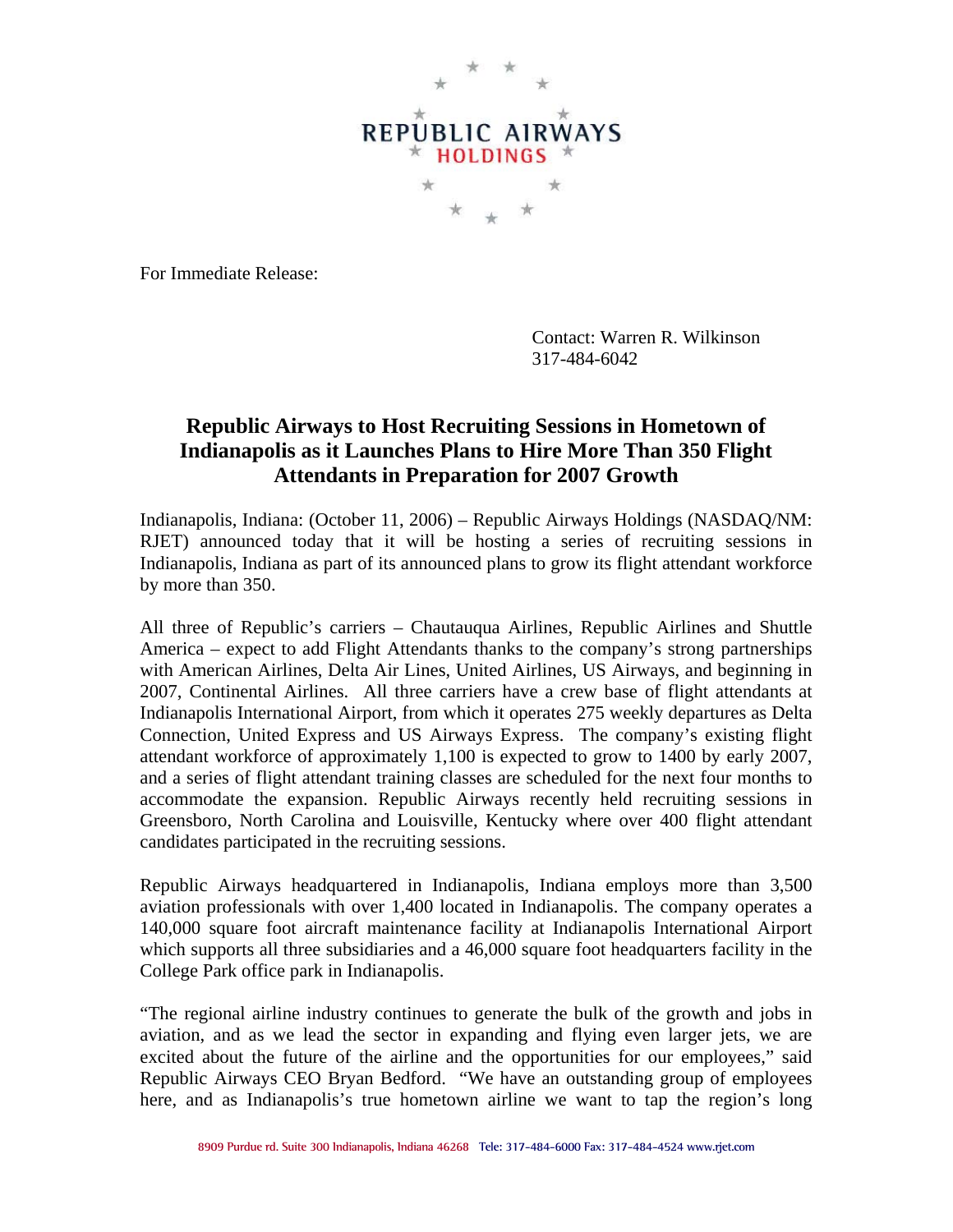

For Immediate Release:

Contact: Warren R. Wilkinson 317-484-6042

## **Republic Airways to Host Recruiting Sessions in Hometown of Indianapolis as it Launches Plans to Hire More Than 350 Flight Attendants in Preparation for 2007 Growth**

Indianapolis, Indiana: (October 11, 2006) – Republic Airways Holdings (NASDAQ/NM: RJET) announced today that it will be hosting a series of recruiting sessions in Indianapolis, Indiana as part of its announced plans to grow its flight attendant workforce by more than 350.

All three of Republic's carriers – Chautauqua Airlines, Republic Airlines and Shuttle America – expect to add Flight Attendants thanks to the company's strong partnerships with American Airlines, Delta Air Lines, United Airlines, US Airways, and beginning in 2007, Continental Airlines. All three carriers have a crew base of flight attendants at Indianapolis International Airport, from which it operates 275 weekly departures as Delta Connection, United Express and US Airways Express. The company's existing flight attendant workforce of approximately 1,100 is expected to grow to 1400 by early 2007, and a series of flight attendant training classes are scheduled for the next four months to accommodate the expansion. Republic Airways recently held recruiting sessions in Greensboro, North Carolina and Louisville, Kentucky where over 400 flight attendant candidates participated in the recruiting sessions.

Republic Airways headquartered in Indianapolis, Indiana employs more than 3,500 aviation professionals with over 1,400 located in Indianapolis. The company operates a 140,000 square foot aircraft maintenance facility at Indianapolis International Airport which supports all three subsidiaries and a 46,000 square foot headquarters facility in the College Park office park in Indianapolis.

"The regional airline industry continues to generate the bulk of the growth and jobs in aviation, and as we lead the sector in expanding and flying even larger jets, we are excited about the future of the airline and the opportunities for our employees," said Republic Airways CEO Bryan Bedford. "We have an outstanding group of employees here, and as Indianapolis's true hometown airline we want to tap the region's long